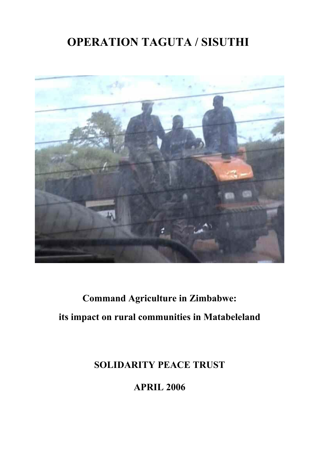## **OPERATION TAGUTA / SISUTHI**



# **Command Agriculture in Zimbabwe: its impact on rural communities in Matabeleland**

## **SOLIDARITY PEACE TRUST**

**APRIL 2006**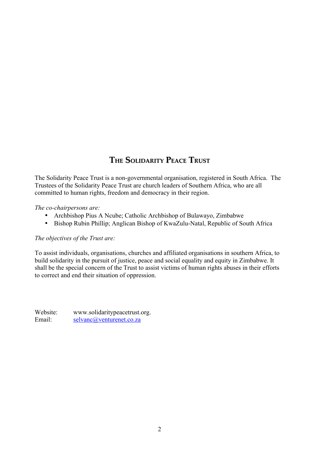## **THE SOLIDARITY PEACE TRUST**

The Solidarity Peace Trust is a non-governmental organisation, registered in South Africa. The Trustees of the Solidarity Peace Trust are church leaders of Southern Africa, who are all committed to human rights, freedom and democracy in their region.

*The co-chairpersons are:* 

- Archbishop Pius A Ncube; Catholic Archbishop of Bulawayo, Zimbabwe
- Bishop Rubin Phillip; Anglican Bishop of KwaZulu-Natal, Republic of South Africa

#### *The objectives of the Trust are:*

To assist individuals, organisations, churches and affiliated organisations in southern Africa, to build solidarity in the pursuit of justice, peace and social equality and equity in Zimbabwe. It shall be the special concern of the Trust to assist victims of human rights abuses in their efforts to correct and end their situation of oppression.

Website: www.solidaritypeacetrust.org. Email: [selvanc@venturenet.co.za](mailto:selvanc@venturenet.co.za)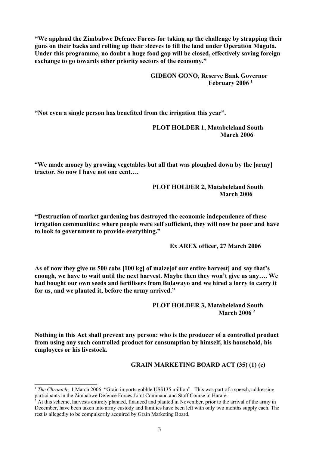**"We applaud the Zimbabwe Defence Forces for taking up the challenge by strapping their guns on their backs and rolling up their sleeves to till the land under Operation Maguta. Under this programme, no doubt a huge food gap will be closed, effectively saving foreign exchange to go towards other priority sectors of the economy."** 

> **GIDEON GONO, Reserve Bank Governor February 2006 [1](#page-2-0)**

**"Not even a single person has benefited from the irrigation this year".**

**PLOT HOLDER 1, Matabeleland South March 2006**

"**We made money by growing vegetables but all that was ploughed down by the [army] tractor. So now I have not one cent….** 

> **PLOT HOLDER 2, Matabeleland South March 2006**

**"Destruction of market gardening has destroyed the economic independence of these irrigation communities: where people were self sufficient, they will now be poor and have to look to government to provide everything."**

**Ex AREX officer, 27 March 2006** 

**As of now they give us 500 cobs [100 kg] of maize[of our entire harvest] and say that's enough, we have to wait until the next harvest. Maybe then they won't give us any…. We had bought our own seeds and fertilisers from Bulawayo and we hired a lorry to carry it for us, and we planted it, before the army arrived."**

> **PLOT HOLDER 3, Matabeleland South March 2006 [2](#page-2-1)**

**Nothing in this Act shall prevent any person: who is the producer of a controlled product from using any such controlled product for consumption by himself, his household, his employees or his livestock.** 

#### **GRAIN MARKETING BOARD ACT (35) (1) (c)**

<span id="page-2-0"></span><sup>&</sup>lt;sup>1</sup> *The Chronicle,* 1 March 2006: "Grain imports gobble US\$135 million". This was part of a speech, addressing participants in the Zimbabwe Defence Forces Joint Command and Staff Course in Harare.

<span id="page-2-1"></span><sup>&</sup>lt;sup>2</sup> At this scheme, harvests entirely planned, financed and planted in November, prior to the arrival of the army in December, have been taken into army custody and families have been left with only two months supply each. The rest is allegedly to be compulsorily acquired by Grain Marketing Board.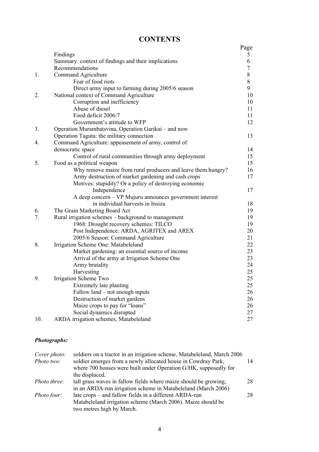| <b>CONTENTS</b> |
|-----------------|
|-----------------|

|     |                                                                        | Page   |
|-----|------------------------------------------------------------------------|--------|
|     | Findings                                                               | 5      |
|     | Summary: context of findings and their implications                    | 6      |
|     | Recommendations                                                        | $\tau$ |
| 1.  | Command Agriculture                                                    | $8\,$  |
|     | Fear of food riots                                                     | 8      |
|     | Direct army input to farming during 2005/6 season                      | 9      |
| 2.  | National context of Command Agriculture                                | 10     |
|     | Corruption and inefficiency                                            | 10     |
|     | Abuse of diesel                                                        | 11     |
|     | Food deficit 2006/7                                                    | 11     |
|     | Government's attitude to WFP                                           | 12     |
| 3.  | Operation Murambatsvina, Operation Garikai - and now                   |        |
|     | Operation Taguta: the military connection                              | 13     |
| 4.  | Command Agriculture: appeasement of army, control of                   |        |
|     | democratic space                                                       | 14     |
|     | Control of rural communities through army deployment                   | 15     |
| 5.  | Food as a political weapon                                             | 15     |
|     | Why remove maize from rural producers and leave them hungry?           | 16     |
|     | Army destruction of market gardening and cash crops                    | 17     |
|     | Motives: stupidity? Or a policy of destroying economic<br>Independence | 17     |
|     | A deep concern - VP Mujuru announces government interest               |        |
|     | in individual harvests in Insiza                                       | 18     |
| 6.  | The Grain Marketing Board Act                                          | 19     |
| 7.  | Rural irrigation schemes - background to management                    | 19     |
|     | 1968: Drought recovery schemes: TILCO                                  | 19     |
|     | Post Independence: ARDA, AGRITEX and AREX                              | 20     |
|     | 2005/6 Season: Command Agriculture                                     | 21     |
| 8.  | Irrigation Scheme One: Matabeleland                                    | 22     |
|     | Market gardening: an essential source of income                        | 23     |
|     | Arrival of the army at Irrigation Scheme One                           | 23     |
|     | Army brutality                                                         | 24     |
|     | Harvesting                                                             | 25     |
| 9.  | Irrigation Scheme Two                                                  | 25     |
|     | Extremely late planting                                                | 25     |
|     | Fallow land – not enough inputs                                        | 26     |
|     | Destruction of market gardens                                          | 26     |
|     | Maize crops to pay for "loans"                                         | 26     |
|     | Social dynamics disrupted                                              | 27     |
| 10. | ARDA irrigation schemes, Matabeleland                                  | 27     |

#### *Photographs:*

| Cover photo:        | soldiers on a tractor in an irrigation scheme, Matabeleland, March 2006 |    |
|---------------------|-------------------------------------------------------------------------|----|
| Photo two:          | soldier emerges from a newly allocated house in Cowdray Park,           | 14 |
|                     | where 700 houses were built under Operation G/HK, supposedly for        |    |
|                     | the displaced.                                                          |    |
| <i>Photo three:</i> | tall grass waves in fallow fields where maize should be growing,        | 28 |
|                     | in an ARDA-run irrigation scheme in Matabeleland (March 2006)           |    |
| Photo four:         | late crops – and fallow fields in a different ARDA-run                  | 28 |
|                     | Matabeleland irrigation scheme (March 2006). Maize should be            |    |
|                     | two metres high by March.                                               |    |
|                     |                                                                         |    |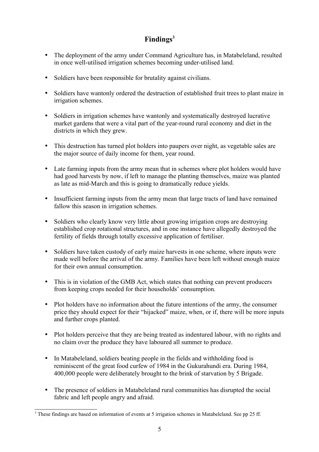## **Findings[3](#page-4-0)**

- The deployment of the army under Command Agriculture has, in Matabeleland, resulted in once well-utilised irrigation schemes becoming under-utilised land.
- Soldiers have been responsible for brutality against civilians.
- Soldiers have wantonly ordered the destruction of established fruit trees to plant maize in irrigation schemes.
- Soldiers in irrigation schemes have wantonly and systematically destroyed lucrative market gardens that were a vital part of the year-round rural economy and diet in the districts in which they grew.
- This destruction has turned plot holders into paupers over night, as vegetable sales are the major source of daily income for them, year round.
- Late farming inputs from the army mean that in schemes where plot holders would have had good harvests by now, if left to manage the planting themselves, maize was planted as late as mid-March and this is going to dramatically reduce yields.
- Insufficient farming inputs from the army mean that large tracts of land have remained fallow this season in irrigation schemes.
- Soldiers who clearly know very little about growing irrigation crops are destroying established crop rotational structures, and in one instance have allegedly destroyed the fertility of fields through totally excessive application of fertiliser.
- Soldiers have taken custody of early maize harvests in one scheme, where inputs were made well before the arrival of the army. Families have been left without enough maize for their own annual consumption.
- This is in violation of the GMB Act, which states that nothing can prevent producers from keeping crops needed for their households' consumption.
- Plot holders have no information about the future intentions of the army, the consumer price they should expect for their "hijacked" maize, when, or if, there will be more inputs and further crops planted.
- Plot holders perceive that they are being treated as indentured labour, with no rights and no claim over the produce they have laboured all summer to produce.
- In Matabeleland, soldiers beating people in the fields and withholding food is reminiscent of the great food curfew of 1984 in the Gukurahundi era. During 1984, 400,000 people were deliberately brought to the brink of starvation by 5 Brigade.
- The presence of soldiers in Matabeleland rural communities has disrupted the social fabric and left people angry and afraid.

<span id="page-4-0"></span><sup>&</sup>lt;sup>3</sup> These findings are based on information of events at 5 irrigation schemes in Matabeleland. See pp 25 ff.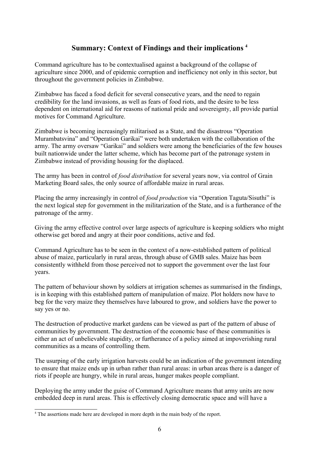## **Summary: Context of Findings and their implications [4](#page-5-0)**

Command agriculture has to be contextualised against a background of the collapse of agriculture since 2000, and of epidemic corruption and inefficiency not only in this sector, but throughout the government policies in Zimbabwe.

Zimbabwe has faced a food deficit for several consecutive years, and the need to regain credibility for the land invasions, as well as fears of food riots, and the desire to be less dependent on international aid for reasons of national pride and sovereignty, all provide partial motives for Command Agriculture.

Zimbabwe is becoming increasingly militarised as a State, and the disastrous "Operation Murambatsvina" and "Operation Garikai" were both undertaken with the collaboration of the army. The army oversaw "Garikai" and soldiers were among the beneficiaries of the few houses built nationwide under the latter scheme, which has become part of the patronage system in Zimbabwe instead of providing housing for the displaced.

The army has been in control of *food distribution* for several years now, via control of Grain Marketing Board sales, the only source of affordable maize in rural areas.

Placing the army increasingly in control of *food production* via "Operation Taguta/Sisuthi" is the next logical step for government in the militarization of the State, and is a furtherance of the patronage of the army.

Giving the army effective control over large aspects of agriculture is keeping soldiers who might otherwise get bored and angry at their poor conditions, active and fed.

Command Agriculture has to be seen in the context of a now-established pattern of political abuse of maize, particularly in rural areas, through abuse of GMB sales. Maize has been consistently withheld from those perceived not to support the government over the last four years.

The pattern of behaviour shown by soldiers at irrigation schemes as summarised in the findings, is in keeping with this established pattern of manipulation of maize. Plot holders now have to beg for the very maize they themselves have laboured to grow, and soldiers have the power to say yes or no.

The destruction of productive market gardens can be viewed as part of the pattern of abuse of communities by government. The destruction of the economic base of these communities is either an act of unbelievable stupidity, or furtherance of a policy aimed at impoverishing rural communities as a means of controlling them.

The usurping of the early irrigation harvests could be an indication of the government intending to ensure that maize ends up in urban rather than rural areas: in urban areas there is a danger of riots if people are hungry, while in rural areas, hunger makes people compliant.

Deploying the army under the guise of Command Agriculture means that army units are now embedded deep in rural areas. This is effectively closing democratic space and will have a

<span id="page-5-0"></span><sup>&</sup>lt;sup>4</sup> The assertions made here are developed in more depth in the main body of the report.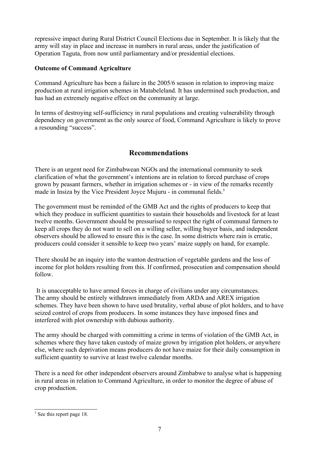repressive impact during Rural District Council Elections due in September. It is likely that the army will stay in place and increase in numbers in rural areas, under the justification of Operation Taguta, from now until parliamentary and/or presidential elections.

#### **Outcome of Command Agriculture**

Command Agriculture has been a failure in the 2005/6 season in relation to improving maize production at rural irrigation schemes in Matabeleland. It has undermined such production, and has had an extremely negative effect on the community at large.

In terms of destroying self-sufficiency in rural populations and creating vulnerability through dependency on government as the only source of food, Command Agriculture is likely to prove a resounding "success".

## **Recommendations**

There is an urgent need for Zimbabwean NGOs and the international community to seek clarification of what the government's intentions are in relation to forced purchase of crops grown by peasant farmers, whether in irrigation schemes or - in view of the remarks recently made in Insiza by the Vice President Joyce Mujuru - in communal fields.<sup>[5](#page-6-0)</sup>

The government must be reminded of the GMB Act and the rights of producers to keep that which they produce in sufficient quantities to sustain their households and livestock for at least twelve months. Government should be pressurised to respect the right of communal farmers to keep all crops they do not want to sell on a willing seller, willing buyer basis, and independent observers should be allowed to ensure this is the case. In some districts where rain is erratic, producers could consider it sensible to keep two years' maize supply on hand, for example.

There should be an inquiry into the wanton destruction of vegetable gardens and the loss of income for plot holders resulting from this. If confirmed, prosecution and compensation should follow.

 It is unacceptable to have armed forces in charge of civilians under any circumstances. The army should be entirely withdrawn immediately from ARDA and AREX irrigation schemes. They have been shown to have used brutality, verbal abuse of plot holders, and to have seized control of crops from producers. In some instances they have imposed fines and interfered with plot ownership with dubious authority.

The army should be charged with committing a crime in terms of violation of the GMB Act, in schemes where they have taken custody of maize grown by irrigation plot holders, or anywhere else, where such deprivation means producers do not have maize for their daily consumption in sufficient quantity to survive at least twelve calendar months.

There is a need for other independent observers around Zimbabwe to analyse what is happening in rural areas in relation to Command Agriculture, in order to monitor the degree of abuse of crop production.

<span id="page-6-0"></span><sup>&</sup>lt;sup>5</sup> See this report page 18.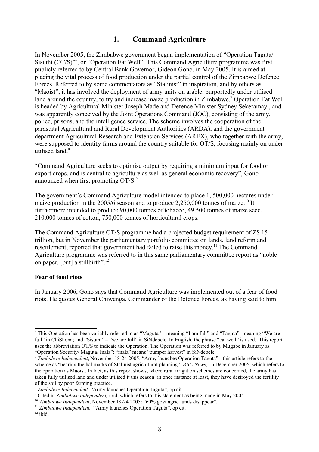### **1. Command Agriculture**

In November 2005, the Zimbabwe government began implementation of "Operation Taguta/ Sisuthi (OT/S)"[6](#page-7-0) , or "Operation Eat Well". This Command Agriculture programme was first publicly referred to by Central Bank Governor, Gideon Gono, in May 2005. It is aimed at placing the vital process of food production under the partial control of the Zimbabwe Defence Forces. Referred to by some commentators as "Stalinist" in inspiration, and by others as "Maoist", it has involved the deployment of army units on arable, purportedly under utilised land around the country, to try and increase maize production in Zimbabwe.<sup>[7](#page-7-1)</sup> Operation Eat Well is headed by Agricultural Minister Joseph Made and Defence Minister Sydney Sekeramayi, and was apparently conceived by the Joint Operations Command (JOC), consisting of the army, police, prisons, and the intelligence service. The scheme involves the cooperation of the parastatal Agricultural and Rural Development Authorities (ARDA), and the government department Agricultural Research and Extension Services (AREX), who together with the army, were supposed to identify farms around the country suitable for OT/S, focusing mainly on under utilised land<sup>[8](#page-7-2)</sup>

"Command Agriculture seeks to optimise output by requiring a minimum input for food or export crops, and is central to agriculture as well as general economic recovery", Gono announced when first promoting OT/S.<sup>[9](#page-7-3)</sup>

The government's Command Agriculture model intended to place 1, 500,000 hectares under maize production in the 2005/6 season and to produce  $2,250,000$  tonnes of maize.<sup>[10](#page-7-4)</sup> It furthermore intended to produce 90,000 tonnes of tobacco, 49,500 tonnes of maize seed, 210,000 tonnes of cotton, 750,000 tonnes of horticultural crops.

The Command Agriculture OT/S programme had a projected budget requirement of Z\$ 15 trillion, but in November the parliamentary portfolio committee on lands, land reform and resettlement, reported that government had failed to raise this money.<sup>[11](#page-7-5)</sup> The Command Agriculture programme was referred to in this same parliamentary committee report as "noble on paper, [but] a stillbirth". [12](#page-7-6)

#### **Fear of food riots**

In January 2006, Gono says that Command Agriculture was implemented out of a fear of food riots. He quotes General Chiwenga, Commander of the Defence Forces, as having said to him:

<span id="page-7-0"></span><sup>6</sup> This Operation has been variably referred to as "Maguta" – meaning "I am full" and "Taguta"- meaning "We are full" in ChiShona; and "Sisuthi" – "we are full" in SiNdebele. In English, the phrase "eat well" is used. This report uses the abbreviation OT/S to indicate the Operation. The Operation was referred to by Mugabe in January as "Operation Security/ Maguta/ Inala": "inala" means "bumper harvest" in SiNdebele.

<span id="page-7-1"></span><sup>7</sup> *Zimbabwe Independent*, November 18-24 2005: "Army launches Operation Taguta" - this article refers to the scheme as "bearing the hallmarks of Stalinist agricultural planning"; *BBC News*, 16 December 2005, which refers to the operation as Maoist. In fact, as this report shows, where rural irrigation schemes are concerned, the army has taken fully utilised land and under utilised it this season: in once instance at least, they have destroyed the fertility of the soil by poor farming practice.

<span id="page-7-2"></span><sup>8</sup> *Zimbabwe Independent,* "Army launches Operation Taguta", op cit.

<span id="page-7-3"></span><sup>9</sup> Cited in *Zimbabwe Independent,* ibid, which refers to this statement as being made in May 2005.

<span id="page-7-4"></span><sup>&</sup>lt;sup>10</sup> Zimbabwe Independent, November 18-24 2005: "60% govt agric funds disappear".

<span id="page-7-5"></span><sup>&</sup>lt;sup>11</sup> *Zimbabwe Independent,* "Army launches Operation Taguta", op cit.

<span id="page-7-6"></span> $12$  ibid.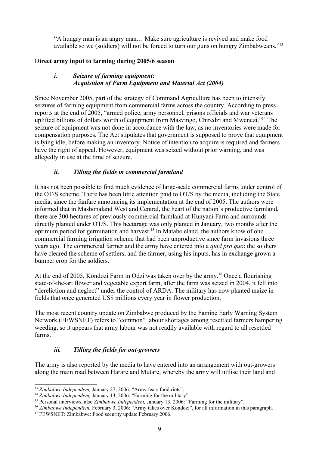"A hungry man is an angry man… Make sure agriculture is revived and make food available so we (soldiers) will not be forced to turn our guns on hungry Zimbabweans."[13](#page-8-0)

#### D**irect army input to farming during 2005/6 season**

#### *i. Seizure of farming equipment: Acquisition of Farm Equipment and Material Act (2004)*

Since November 2005, part of the strategy of Command Agriculture has been to intensify seizures of farming equipment from commercial farms across the country. According to press reports at the end of 2005, "armed police, army personnel, prisons officials and war veterans uplifted billions of dollars worth of equipment from Masvingo, Chiredzi and Mwenezi."[14](#page-8-1) The seizure of equipment was not done in accordance with the law, as no inventories were made for compensation purposes. The Act stipulates that government is supposed to prove that equipment is lying idle, before making an inventory. Notice of intention to acquire is required and farmers have the right of appeal. However, equipment was seized without prior warning, and was allegedly in use at the time of seizure.

#### *ii. Tilling the fields in commercial farmland*

It has not been possible to find much evidence of large-scale commercial farms under control of the OT/S scheme. There has been little attention paid to OT/S by the media, including the State media, since the fanfare announcing its implementation at the end of 2005. The authors were informed that in Mashonaland West and Central, the heart of the nation's productive farmland, there are 300 hectares of previously commercial farmland at Hunyani Farm and surrounds directly planted under OT/S. This hectarage was only planted in January, two months after the optimum period for germination and harvest. [15](#page-8-2) In Matabeleland, the authors know of one commercial farming irrigation scheme that had been unproductive since farm invasions three years ago. The commercial farmer and the army have entered into a *quid pro quo*: the soldiers have cleared the scheme of settlers, and the farmer, using his inputs, has in exchange grown a bumper crop for the soldiers.

At the end of 2005, Kondozi Farm in Odzi was taken over by the army.<sup>[16](#page-8-3)</sup> Once a flourishing state-of-the-art flower and vegetable export farm, after the farm was seized in 2004, it fell into "dereliction and neglect" under the control of ARDA. The military has now planted maize in fields that once generated US\$ millions every year in flower production.

The most recent country update on Zimbabwe produced by the Famine Early Warning System Network (FEWSNET) refers to "common" labour shortages among resettled farmers hampering weeding, so it appears that army labour was not readily available with regard to all resettled farms.<sup>[17](#page-8-4)</sup>

#### *iii. Tilling the fields for out-growers*

The army is also reported by the media to have entered into an arrangement with out-growers along the main road between Harare and Mutare, whereby the army will utilise their land and

<span id="page-8-0"></span><sup>&</sup>lt;sup>13</sup> Zimbabwe Independent, January 27, 2006: "Army fears food riots".

<span id="page-8-1"></span><sup>&</sup>lt;sup>14</sup> Zimbabwe Independent, January 13, 2006: "Farming for the military".

<span id="page-8-2"></span><sup>&</sup>lt;sup>15</sup> Personal interviews, also *Zimbabwe Independent*, January 13, 2006: "Farming for the military".

<span id="page-8-3"></span><sup>&</sup>lt;sup>16</sup> *Zimbabwe Independent, February 3, 2006:* "Army takes over Kondozi", for all information in this paragraph.

<span id="page-8-4"></span><sup>&</sup>lt;sup>17</sup> FEWSNET: Zimbabwe: Food security update February 2006.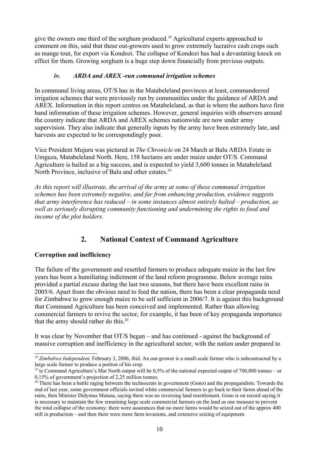give the owners one third of the sorghum produced.<sup>[18](#page-9-0)</sup> Agricultural experts approached to comment on this, said that these out-growers used to grow extremely lucrative cash crops such as mange tout, for export via Kondozi. The collapse of Kondozi has had a devastating knock on effect for them. Growing sorghum is a huge step down financially from previous outputs.

#### *iv. ARDA and AREX -run communal irrigation schemes*

In communal living areas, OT/S has in the Matabeleland provinces at least, commandeered irrigation schemes that were previously run by communities under the guidance of ARDA and AREX. Information in this report centres on Matabeleland, as that is where the authors have first hand information of these irrigation schemes. However, general inquiries with observers around the country indicate that ARDA and AREX schemes nationwide are now under army supervision. They also indicate that generally inputs by the army have been extremely late, and harvests are expected to be correspondingly poor.

Vice President Mujuru was pictured in *The Chronicle* on 24 March at Balu ARDA Estate in Umguza, Matabeleland North. Here, 158 hectares are under maize under OT/S. Command Agriculture is hailed as a big success, and is expected to yield 3,600 tonnes in Matabeleland North Province, inclusive of Balu and other estates.<sup>[19](#page-9-1)</sup>

*As this report will illustrate, the arrival of the army at some of these communal irrigation schemes has been extremely negative, and far from enhancing production, evidence suggests that army interference has reduced – in some instances almost entirely halted – production, as well as seriously disrupting community functioning and undermining the rights to food and income of the plot holders.*

## **2. National Context of Command Agriculture**

#### **Corruption and inefficiency**

The failure of the government and resettled farmers to produce adequate maize in the last few years has been a humiliating indictment of the land reform programme. Below average rains provided a partial excuse during the last two seasons, but there have been excellent rains in 2005/6. Apart from the obvious need to feed the nation, there has been a clear propaganda need for Zimbabwe to grow enough maize to be self sufficient in 2006/7. It is against this background that Command Agriculture has been conceived and implemented. Rather than allowing commercial farmers to revive the sector, for example, it has been of key propaganda importance that the army should rather do this. $20$ 

It was clear by November that OT/S began – and has continued - against the background of massive corruption and inefficiency in the agricultural sector, with the nation under prepared to

<span id="page-9-0"></span><sup>&</sup>lt;sup>18</sup> *Zimbabwe Independent*, February 3, 2006, ibid. An out-grower is a small-scale farmer who is subcontracted by a large scale farmer to produce a portion of his crop.

<span id="page-9-1"></span><sup>&</sup>lt;sup>19</sup> ie Command Agriculture's Mat North output will be 0,5% of the national expected output of 700,000 tonnes – or 0,15% of government's projection of 2,25 million tonnes.

<span id="page-9-2"></span> $20$  There has been a battle raging between the technocrats in government (Gono) and the propagandists. Towards the end of last year, some government officials invited white commercial farmers to go back to their farms ahead of the rains, then Minister Didymus Mutasa, saying there was no reversing land resettlement. Gono is on record saying it is necessary to maintain the few remaining large scale commercial farmers on the land as one measure to prevent the total collapse of the economy: there were assurances that no more farms would be seized out of the approx 400 still in production – and then there were more farm invasions, and extensive seizing of equipment.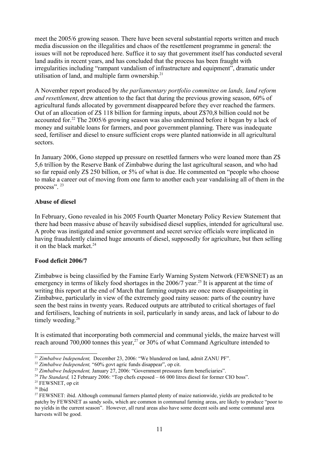meet the 2005/6 growing season. There have been several substantial reports written and much media discussion on the illegalities and chaos of the resettlement programme in general: the issues will not be reproduced here. Suffice it to say that government itself has conducted several land audits in recent years, and has concluded that the process has been fraught with irregularities including "rampant vandalism of infrastructure and equipment", dramatic under utilisation of land, and multiple farm ownership.<sup>[21](#page-10-0)</sup>

A November report produced by *the parliamentary portfolio committee on lands, land reform and resettlement*, drew attention to the fact that during the previous growing season, 60% of agricultural funds allocated by government disappeared before they ever reached the farmers. Out of an allocation of Z\$ 118 billion for farming inputs, about Z\$70,8 billion could not be accounted for.<sup>[22](#page-10-1)</sup> The 2005/6 growing season was also undermined before it began by a lack of money and suitable loans for farmers, and poor government planning. There was inadequate seed, fertiliser and diesel to ensure sufficient crops were planted nationwide in all agricultural sectors.

In January 2006, Gono stepped up pressure on resettled farmers who were loaned more than Z\$ 5,6 trillion by the Reserve Bank of Zimbabwe during the last agricultural season, and who had so far repaid only Z\$ 250 billion, or 5% of what is due. He commented on "people who choose to make a career out of moving from one farm to another each year vandalising all of them in the process". <sup>[23](#page-10-2)</sup>

#### **Abuse of diesel**

In February, Gono revealed in his 2005 Fourth Quarter Monetary Policy Review Statement that there had been massive abuse of heavily subsidised diesel supplies, intended for agricultural use. A probe was instigated and senior government and secret service officials were implicated in having fraudulently claimed huge amounts of diesel, supposedly for agriculture, but then selling it on the black market. [24](#page-10-3)

#### **Food deficit 2006/7**

Zimbabwe is being classified by the Famine Early Warning System Network (FEWSNET) as an emergency in terms of likely food shortages in the 2006/7 year.<sup>[25](#page-10-4)</sup> It is apparent at the time of writing this report at the end of March that farming outputs are once more disappointing in Zimbabwe, particularly in view of the extremely good rainy season: parts of the country have seen the best rains in twenty years. Reduced outputs are attributed to critical shortages of fuel and fertilisers, leaching of nutrients in soil, particularly in sandy areas, and lack of labour to do timely weeding. $26$ 

It is estimated that incorporating both commercial and communal yields, the maize harvest will reach around  $700,000$  tonnes this year,<sup>[27](#page-10-6)</sup> or  $30\%$  of what Command Agriculture intended to

<span id="page-10-0"></span><sup>&</sup>lt;sup>21</sup> Zimbabwe Independent, December 23, 2006: "We blundered on land, admit ZANU PF".

<span id="page-10-1"></span><sup>&</sup>lt;sup>22</sup> Zimbabwe Independent, "60% govt agric funds disappear", op cit.

<span id="page-10-2"></span><sup>&</sup>lt;sup>23</sup> Zimbabwe Independent, January 27, 2006: "Government pressures farm beneficiaries".

<span id="page-10-3"></span><sup>&</sup>lt;sup>24</sup> *The Standard,* 12 February 2006: "Top chefs exposed – 66 000 litres diesel for former CIO boss".

<span id="page-10-4"></span><sup>&</sup>lt;sup>25</sup> FEWSNET, op cit

<span id="page-10-5"></span> $26$  Ibid

<span id="page-10-6"></span><sup>&</sup>lt;sup>27</sup> FEWSNET: ibid. Although communal farmers planted plenty of maize nationwide, yields are predicted to be patchy by FEWSNET as sandy soils, which are common in communal farming areas, are likely to produce "poor to no yields in the current season". However, all rural areas also have some decent soils and some communal area harvests will be good.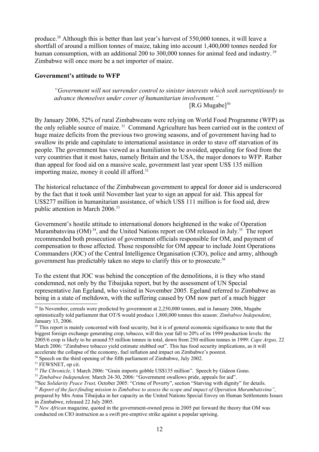produce.<sup>[28](#page-11-0)</sup> Although this is better than last year's harvest of 550,000 tonnes, it will leave a shortfall of around a million tonnes of maize, taking into account 1,400,000 tonnes needed for human consumption, with an additional 200 to 300,000 tonnes for animal feed and industry.<sup>[29](#page-11-1)</sup> Zimbabwe will once more be a net importer of maize.

#### **Government's attitude to WFP**

#### *"Government will not surrender control to sinister interests which seek surreptitiously to advance themselves under cover of humanitarian involvement."* [R.G Mugabe] [30](#page-11-2)

By January 2006, 52% of rural Zimbabweans were relying on World Food Programme (WFP) as the only reliable source of maize.<sup>[31](#page-11-3)</sup> Command Agriculture has been carried out in the context of huge maize deficits from the previous two growing seasons, and of government having had to swallow its pride and capitulate to international assistance in order to stave off starvation of its people. The government has viewed as a humiliation to be avoided, appealing for food from the very countries that it most hates, namely Britain and the USA, the major donors to WFP. Rather than appeal for food aid on a massive scale, government last year spent US\$ 135 million importing maize, money it could ill afford.[32](#page-11-4)

The historical reluctance of the Zimbabwean government to appeal for donor aid is underscored by the fact that it took until November last year to sign an appeal for aid. This appeal for US\$277 million in humanitarian assistance, of which US\$ 111 million is for food aid, drew public attention in March 2006.[33](#page-11-5)

Government's hostile attitude to international donors heightened in the wake of Operation Murambatsvina (OM)<sup>[34](#page-11-6)</sup>, and the United Nations report on OM released in July.<sup>[35](#page-11-7)</sup> The report recommended both prosecution of government officials responsible for OM, and payment of compensation to those affected. Those responsible for OM appear to include Joint Operations Commanders (JOC) of the Central Intelligence Organisation (CIO), police and army, although government has predictably taken no steps to clarify this or to prosecute. [36](#page-11-8)

To the extent that JOC was behind the conception of the demolitions, it is they who stand condemned, not only by the Tibaijuka report, but by the assessment of UN Special representative Jan Egeland, who visited in November 2005. Egeland referred to Zimbabwe as being in a state of meltdown, with the suffering caused by OM now part of a much bigger

<span id="page-11-2"></span><sup>30</sup> Speech on the third opening of the fifth parliament of Zimbabwe, July 2002.

<span id="page-11-3"></span><sup>31</sup> FEWSNET, op cit.

<span id="page-11-0"></span><sup>&</sup>lt;sup>28</sup> In November, cereals were predicted by government at 2,250,000 tonnes, and in January 2006, Mugabe optimistically told parliament that OT/S would produce 1,800,000 tonnes this season: *Zimbabwe Independent*, January 13, 2006.

<span id="page-11-1"></span><sup>&</sup>lt;sup>29</sup> This report is mainly concerned with food security, but it is of general economic significance to note that the biggest foreign exchange generating crop, tobacco, will this year fall to 20% of its 1999 production levels: the 2005/6 crop is likely to be around 55 million tonnes in total, down from 250 million tonnes in 1999: *Cape Argus,* 22 March 2006: "Zimbabwe tobacco yield estimate stubbed out". This has food security implications, as it will accelerate the collapse of the economy, fuel inflation and impact on Zimbabwe's poorest.

<span id="page-11-4"></span><sup>&</sup>lt;sup>32</sup> *The Chronicle*, 1 March 2006: "Grain imports gobble US\$135 million". Speech by Gideon Gono.

<span id="page-11-5"></span><sup>&</sup>lt;sup>33</sup> Zimbabwe Independent, March 24-30, 2006: "Government swallows pride, appeals for aid".

<span id="page-11-6"></span><sup>&</sup>lt;sup>34</sup>See *Solidarity Peace Trust*, October 2005: "Crime of Poverty", section "Starving with dignity" for details.

<span id="page-11-7"></span><sup>35</sup> *Report of the fact-finding mission to Zimbabwe to assess the scope and impact of Operation Murambatsvina",*

prepared by Mrs Anna Tibaijuka in her capacity as the United Nations Special Envoy on Human Settlements Issues in Zimbabwe, released 22 July 2005.

<span id="page-11-8"></span><sup>&</sup>lt;sup>36</sup> *New African* magazine, quoted in the government-owned press in 2005 put forward the theory that OM was conducted on CIO instruction as a swift pre-emptive strike against a popular uprising.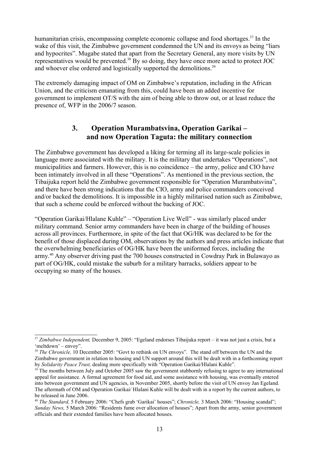humanitarian crisis, encompassing complete economic collapse and food shortages.<sup>[37](#page-12-0)</sup> In the wake of this visit, the Zimbabwe government condemned the UN and its envoys as being "liars" and hypocrites". Mugabe stated that apart from the Secretary General, any more visits by UN representatives would be prevented.<sup>[38](#page-12-1)</sup> By so doing, they have once more acted to protect JOC and whoever else ordered and logistically supported the demolitions.<sup>[39](#page-12-2)</sup>

The extremely damaging impact of OM on Zimbabwe's reputation, including in the African Union, and the criticism emanating from this, could have been an added incentive for government to implement OT/S with the aim of being able to throw out, or at least reduce the presence of, WFP in the 2006/7 season.

## **3. Operation Murambatsvina, Operation Garikai – and now Operation Taguta: the military connection**

The Zimbabwe government has developed a liking for terming all its large-scale policies in language more associated with the military. It is the military that undertakes "Operations", not municipalities and farmers. However, this is no coincidence – the army, police and CIO have been intimately involved in all these "Operations". As mentioned in the previous section, the Tibaijuka report held the Zimbabwe government responsible for "Operation Murambatsvina", and there have been strong indications that the CIO, army and police commanders conceived and/or backed the demolitions. It is impossible in a highly militarised nation such as Zimbabwe, that such a scheme could be enforced without the backing of JOC.

"Operation Garikai/Hlalane Kuhle" – "Operation Live Well" - was similarly placed under military command. Senior army commanders have been in charge of the building of houses across all provinces. Furthermore, in spite of the fact that OG/HK was declared to be for the benefit of those displaced during OM, observations by the authors and press articles indicate that the overwhelming beneficiaries of OG/HK have been the uniformed forces, including the army.<sup>[40](#page-12-3)</sup> Any observer driving past the 700 houses constructed in Cowdray Park in Bulawayo as part of OG/HK, could mistake the suburb for a military barracks, soldiers appear to be occupying so many of the houses.

<span id="page-12-0"></span><sup>37</sup> *Zimbabwe Independent,* December 9, 2005: "Egeland endorses Tibaijuka report – it was not just a crisis, but a 'meltdown' – envoy".

<span id="page-12-1"></span><sup>&</sup>lt;sup>38</sup> *The Chronicle*, 10 December 2005: "Govt to rethink on UN envoys". The stand off between the UN and the Zimbabwe government in relation to housing and UN support around this will be dealt with in a forthcoming report by *Solidarity Peace Trust,* dealing more specifically with "Operation Garikai/Hlalani Kuhle".

<span id="page-12-2"></span> $39$  The months between July and October 2005 saw the government stubbornly refusing to agree to any international appeal for assistance. A formal agreement for food aid, and some assistance with housing, was eventually entered into between government and UN agencies, in November 2005, shortly before the visit of UN envoy Jan Egeland. The aftermath of OM and Operation Garikai/ Hlalani Kuhle will be dealt with in a report by the current authors, to be released in June 2006.

<span id="page-12-3"></span><sup>40</sup> *The Standard,* 5 February 2006: "Chefs grab 'Garikai' houses"; *Chronicle,* 3 March 2006: "Housing scandal"; *Sunday News,* 5 March 2006: "Residents fume over allocation of houses"; Apart from the army, senior government officials and their extended families have been allocated houses.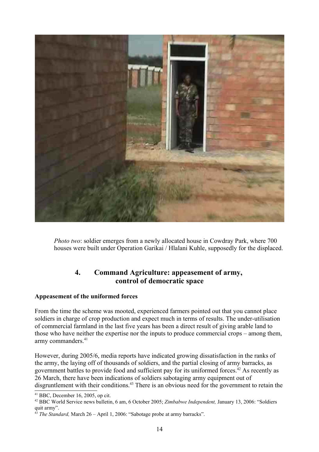

*Photo two*: soldier emerges from a newly allocated house in Cowdray Park, where 700 houses were built under Operation Garikai / Hlalani Kuhle, supposedly for the displaced.

## **4. Command Agriculture: appeasement of army, control of democratic space**

#### **Appeasement of the uniformed forces**

From the time the scheme was mooted, experienced farmers pointed out that you cannot place soldiers in charge of crop production and expect much in terms of results. The under-utilisation of commercial farmland in the last five years has been a direct result of giving arable land to those who have neither the expertise nor the inputs to produce commercial crops – among them, army commanders. [41](#page-13-0)

However, during 2005/6, media reports have indicated growing dissatisfaction in the ranks of the army, the laying off of thousands of soldiers, and the partial closing of army barracks, as government battles to provide food and sufficient pay for its uniformed forces. [42](#page-13-1) As recently as 26 March, there have been indications of soldiers sabotaging army equipment out of disgruntlement with their conditions.<sup>[43](#page-13-2)</sup> There is an obvious need for the government to retain the

<span id="page-13-0"></span> $41$  BBC, December 16, 2005, op cit.

<span id="page-13-1"></span><sup>42</sup> BBC World Service news bulletin, 6 am, 6 October 2005; *Zimbabwe Independent,* January 13, 2006: "Soldiers quit army".

<span id="page-13-2"></span><sup>43</sup> *The Standard,* March 26 – April 1, 2006: "Sabotage probe at army barracks".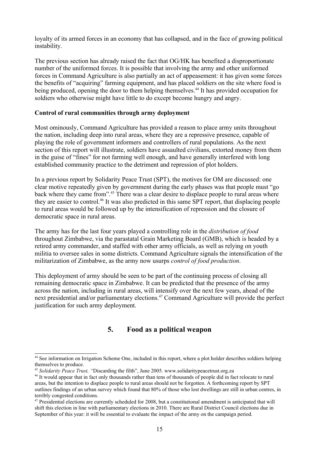loyalty of its armed forces in an economy that has collapsed, and in the face of growing political instability.

The previous section has already raised the fact that OG/HK has benefited a disproportionate number of the uniformed forces. It is possible that involving the army and other uniformed forces in Command Agriculture is also partially an act of appeasement: it has given some forces the benefits of "acquiring" farming equipment, and has placed soldiers on the site where food is being produced, opening the door to them helping themselves.<sup>[44](#page-14-0)</sup> It has provided occupation for soldiers who otherwise might have little to do except become hungry and angry.

#### **Control of rural communities through army deployment**

Most ominously, Command Agriculture has provided a reason to place army units throughout the nation, including deep into rural areas, where they are a repressive presence, capable of playing the role of government informers and controllers of rural populations. As the next section of this report will illustrate, soldiers have assaulted civilians, extorted money from them in the guise of "fines" for not farming well enough, and have generally interfered with long established community practice to the detriment and repression of plot holders.

In a previous report by Solidarity Peace Trust (SPT), the motives for OM are discussed: one clear motive repeatedly given by government during the early phases was that people must "go back where they came from".<sup>[45](#page-14-1)</sup> There was a clear desire to displace people to rural areas where they are easier to control.<sup>[46](#page-14-2)</sup> It was also predicted in this same SPT report, that displacing people to rural areas would be followed up by the intensification of repression and the closure of democratic space in rural areas.

The army has for the last four years played a controlling role in the *distribution of food* throughout Zimbabwe, via the parastatal Grain Marketing Board (GMB), which is headed by a retired army commander, and staffed with other army officials, as well as relying on youth militia to oversee sales in some districts. Command Agriculture signals the intensification of the militarization of Zimbabwe, as the army now usurps *control of food production*.

This deployment of army should be seen to be part of the continuing process of closing all remaining democratic space in Zimbabwe. It can be predicted that the presence of the army across the nation, including in rural areas, will intensify over the next few years, ahead of the next presidential and/or parliamentary elections. [47](#page-14-3) Command Agriculture will provide the perfect justification for such army deployment.

## **5. Food as a political weapon**

<span id="page-14-0"></span><sup>&</sup>lt;sup>44</sup> See information on Irrigation Scheme One, included in this report, where a plot holder describes soldiers helping themselves to produce.

<span id="page-14-1"></span><sup>45</sup> *Solidarity Peace Trust, "*Discarding the filth", June 2005. www.solidaritypeacetrust.org.za

<span id="page-14-2"></span><sup>46</sup> It would appear that in fact only thousands rather than tens of thousands of people did in fact relocate to rural areas, but the intention to displace people to rural areas should not be forgotten. A forthcoming report by SPT outlines findings of an urban survey which found that 80% of those who lost dwellings are still in urban centres, in terribly congested conditions.

<span id="page-14-3"></span><sup>&</sup>lt;sup>47</sup> Presidential elections are currently scheduled for 2008, but a constitutional amendment is anticipated that will shift this election in line with parliamentary elections in 2010. There are Rural District Council elections due in September of this year: it will be essential to evaluate the impact of the army on the campaign period.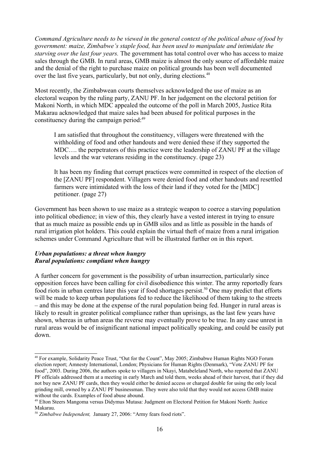*Command Agriculture needs to be viewed in the general context of the political abuse of food by government: maize, Zimbabwe's staple food, has been used to manipulate and intimidate the starving over the last four years.* The government has total control over who has access to maize sales through the GMB. In rural areas, GMB maize is almost the only source of affordable maize and the denial of the right to purchase maize on political grounds has been well documented over the last five years, particularly, but not only, during elections.<sup>[48](#page-15-0)</sup>

Most recently, the Zimbabwean courts themselves acknowledged the use of maize as an electoral weapon by the ruling party, ZANU PF. In her judgement on the electoral petition for Makoni North, in which MDC appealed the outcome of the poll in March 2005, Justice Rita Makarau acknowledged that maize sales had been abused for political purposes in the constituency during the campaign period:<sup>[49](#page-15-1)</sup>

I am satisfied that throughout the constituency, villagers were threatened with the withholding of food and other handouts and were denied these if they supported the MDC…. the perpetrators of this practice were the leadership of ZANU PF at the village levels and the war veterans residing in the constituency. (page 23)

It has been my finding that corrupt practices were committed in respect of the election of the [ZANU PF] respondent. Villagers were denied food and other handouts and resettled farmers were intimidated with the loss of their land if they voted for the [MDC] petitioner. (page 27)

Government has been shown to use maize as a strategic weapon to coerce a starving population into political obedience; in view of this, they clearly have a vested interest in trying to ensure that as much maize as possible ends up in GMB silos and as little as possible in the hands of rural irrigation plot holders. This could explain the virtual theft of maize from a rural irrigation schemes under Command Agriculture that will be illustrated further on in this report.

#### *Urban populations: a threat when hungry Rural populations: compliant when hungry*

A further concern for government is the possibility of urban insurrection, particularly since opposition forces have been calling for civil disobedience this winter. The army reportedly fears food riots in urban centres later this year if food shortages persist.<sup>[50](#page-15-2)</sup> One may predict that efforts will be made to keep urban populations fed to reduce the likelihood of them taking to the streets – and this may be done at the expense of the rural population being fed. Hunger in rural areas is likely to result in greater political compliance rather than uprisings, as the last few years have shown, whereas in urban areas the reverse may eventually prove to be true. In any case unrest in rural areas would be of insignificant national impact politically speaking, and could be easily put down.

<span id="page-15-0"></span><sup>48</sup> For example, Solidarity Peace Trust, "Out for the Count", May 2005; Zimbabwe Human Rights NGO Forum election report; Amnesty International, London; Physicians for Human Rights (Denmark), "Vote ZANU PF for food", 2003. During 2006, the authors spoke to villagers in Nkayi, Matabeleland North, who reported that ZANU PF officials addressed them at a meeting in early March and told them, weeks ahead of their harvest, that if they did not buy new ZANU PF cards, then they would either be denied access or charged double for using the only local grinding mill, owned by a ZANU PF businessman. They were also told that they would not access GMB maize without the cards. Examples of food abuse abound.

<span id="page-15-1"></span><sup>49</sup> Elton Steers Mangoma versus Didymus Mutasa: Judgment on Electoral Petition for Makoni North: Justice Makarau.

<span id="page-15-2"></span><sup>50</sup> *Zimbabwe Independent,* January 27, 2006: "Army fears food riots".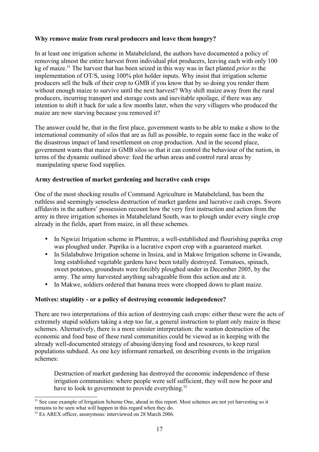#### **Why remove maize from rural producers and leave them hungry?**

In at least one irrigation scheme in Matabeleland, the authors have documented a policy of removing almost the entire harvest from individual plot producers, leaving each with only 100 kg of maize. [51](#page-16-0) The harvest that has been seized in this way was in fact planted *prior to* the implementation of OT/S, using 100% plot holder inputs. Why insist that irrigation scheme producers sell the bulk of their crop to GMB if you know that by so doing you render them without enough maize to survive until the next harvest? Why shift maize away from the rural producers, incurring transport and storage costs and inevitable spoilage, if there was any intention to shift it back for sale a few months later, when the very villagers who produced the maize are now starving because you removed it?

The answer could be, that in the first place, government wants to be able to make a show to the international community of silos that are as full as possible, to regain some face in the wake of the disastrous impact of land resettlement on crop production. And in the second place, government wants that maize in GMB silos so that it can control the behaviour of the nation, in terms of the dynamic outlined above: feed the urban areas and control rural areas by manipulating sparse food supplies.

#### **Army destruction of market gardening and lucrative cash crops**

One of the most shocking results of Command Agriculture in Matabeleland, has been the ruthless and seemingly senseless destruction of market gardens and lucrative cash crops. Sworn affidavits in the authors' possession recount how the very first instruction and action from the army in three irrigation schemes in Matabeleland South, was to plough under every single crop already in the fields, apart from maize, in all these schemes.

- In Ngwizi Irrigation scheme in Plumtree, a well-established and flourishing paprika crop was ploughed under. Paprika is a lucrative export crop with a guaranteed market.
- In Silalabuhwe Irrigation scheme in Insiza, and in Makwe Irrigation scheme in Gwanda, long established vegetable gardens have been totally destroyed. Tomatoes, spinach, sweet potatoes, groundnuts were forcibly ploughed under in December 2005, by the army. The army harvested anything salvageable from this action and ate it.
- In Makwe, soldiers ordered that banana trees were chopped down to plant maize.

#### **Motives: stupidity - or a policy of destroying economic independence?**

There are two interpretations of this action of destroying cash crops: either these were the acts of extremely stupid soldiers taking a step too far, a general instruction to plant only maize in these schemes. Alternatively, there is a more sinister interpretation: the wanton destruction of the economic and food base of these rural communities could be viewed as in keeping with the already well-documented strategy of abusing/denying food and resources, to keep rural populations subdued. As one key informant remarked, on describing events in the irrigation schemes:

Destruction of market gardening has destroyed the economic independence of these irrigation communities: where people were self sufficient, they will now be poor and have to look to government to provide everything.<sup>[52](#page-16-1)</sup>

<span id="page-16-0"></span><sup>&</sup>lt;sup>51</sup> See case example of Irrigation Scheme One, ahead in this report. Most schemes are not yet harvesting so it remains to be seen what will happen in this regard when they do.

<span id="page-16-1"></span><sup>52</sup> Ex AREX officer, anonymous: interviewed on 28 March 2006.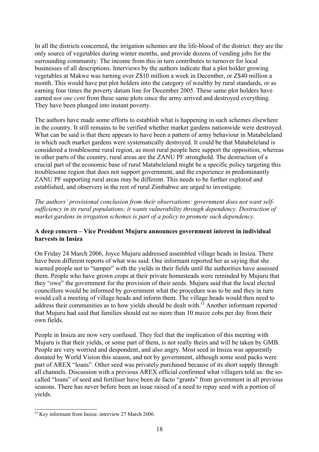In all the districts concerned, the irrigation schemes are the life-blood of the district: they are the only source of vegetables during winter months, and provide dozens of vending jobs for the surrounding community. The income from this in turn contributes to turnover for local businesses of all descriptions. Interviews by the authors indicate that a plot holder growing vegetables at Makwe was turning over Z\$10 million a week in December, or Z\$40 million a month. This would have put plot holders into the category of wealthy by rural standards, or as earning four times the poverty datum line for December 2005. These same plot holders have earned *not one cent* from these same plots since the army arrived and destroyed everything. They have been plunged into instant poverty.

The authors have made some efforts to establish what is happening in such schemes elsewhere in the country. It still remains to be verified whether market gardens nationwide were destroyed. What can be said is that there appears to have been a pattern of army behaviour in Matabeleland in which such market gardens were systematically destroyed. It could be that Matabeleland is considered a troublesome rural region, as most rural people here support the opposition, whereas in other parts of the country, rural areas are the ZANU PF stronghold. The destruction of a crucial part of the economic base of rural Matabeleland might be a specific policy targeting this troublesome region that does not support government, and the experience in predominantly ZANU PF supporting rural areas may be different. This needs to be further explored and established, and observers in the rest of rural Zimbabwe are urged to investigate.

*The authors' provisional conclusion from their observations: government does not want selfsufficiency in its rural populations; it wants vulnerability through dependency. Destruction of market gardens in irrigation schemes is part of a policy to promote such dependency.* 

#### **A deep concern – Vice President Mujuru announces government interest in individual harvests in Insiza**

On Friday 24 March 2006, Joyce Mujuru addressed assembled village heads in Insiza. There have been different reports of what was said. One informant reported her as saying that she warned people not to "tamper" with the yields in their fields until the authorities have assessed them. People who have grown crops at their private homesteads were reminded by Mujuru that they "owe" the government for the provision of their seeds. Mujuru said that the local elected councillors would be informed by government what the procedure was to be and they in turn would call a meeting of village heads and inform them. The village heads would then need to address their communities as to how yields should be dealt with.<sup>[53](#page-17-0)</sup> Another informant reported that Mujuru had said that families should eat no more than 10 maize cobs per day from their own fields.

People in Insiza are now very confused. They feel that the implication of this meeting with Mujuru is that their yields, or some part of them, is not really theirs and will be taken by GMB. People are very worried and despondent, and also angry. Most seed in Insiza was apparently donated by World Vision this season, and not by government, although some seed packs were part of AREX "loans". Other seed was privately purchased because of its short supply through all channels. Discussion with a previous AREX official confirmed what villagers told us: the socalled "loans" of seed and fertiliser have been de facto "grants" from government in all previous seasons. There has never before been an issue raised of a need to repay seed with a portion of yields.

<span id="page-17-0"></span><sup>&</sup>lt;sup>53</sup> Key informant from Insiza: interview 27 March 2006.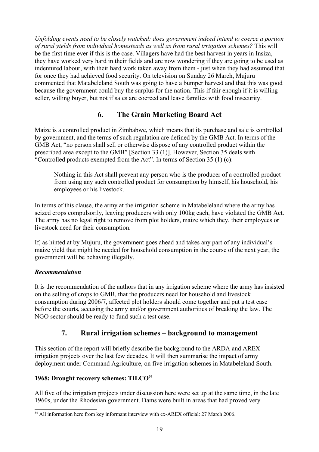*Unfolding events need to be closely watched: does government indeed intend to coerce a portion of rural yields from individual homesteads as well as from rural irrigation schemes?* This will be the first time ever if this is the case. Villagers have had the best harvest in years in Insiza, they have worked very hard in their fields and are now wondering if they are going to be used as indentured labour, with their hard work taken away from them - just when they had assumed that for once they had achieved food security. On television on Sunday 26 March, Mujuru commented that Matabeleland South was going to have a bumper harvest and that this was good because the government could buy the surplus for the nation. This if fair enough if it is willing seller, willing buyer, but not if sales are coerced and leave families with food insecurity.

## **6. The Grain Marketing Board Act**

Maize is a controlled product in Zimbabwe, which means that its purchase and sale is controlled by government, and the terms of such regulation are defined by the GMB Act. In terms of the GMB Act, "no person shall sell or otherwise dispose of any controlled product within the prescribed area except to the GMB" [Section 33 (1)]. However, Section 35 deals with "Controlled products exempted from the Act". In terms of Section 35 (1) (c):

Nothing in this Act shall prevent any person who is the producer of a controlled product from using any such controlled product for consumption by himself, his household, his employees or his livestock.

In terms of this clause, the army at the irrigation scheme in Matabeleland where the army has seized crops compulsorily, leaving producers with only 100kg each, have violated the GMB Act. The army has no legal right to remove from plot holders, maize which they, their employees or livestock need for their consumption.

If, as hinted at by Mujuru, the government goes ahead and takes any part of any individual's maize yield that might be needed for household consumption in the course of the next year, the government will be behaving illegally.

#### *Recommendation*

It is the recommendation of the authors that in any irrigation scheme where the army has insisted on the selling of crops to GMB, that the producers need for household and livestock consumption during 2006/7, affected plot holders should come together and put a test case before the courts, accusing the army and/or government authorities of breaking the law. The NGO sector should be ready to fund such a test case.

## **7. Rural irrigation schemes – background to management**

This section of the report will briefly describe the background to the ARDA and AREX irrigation projects over the last few decades. It will then summarise the impact of army deployment under Command Agriculture, on five irrigation schemes in Matabeleland South.

#### **1968: Drought recovery schemes: TILCO [54](#page-18-0)**

All five of the irrigation projects under discussion here were set up at the same time, in the late 1960s, under the Rhodesian government. Dams were built in areas that had proved very

<span id="page-18-0"></span><sup>54</sup> All information here from key informant interview with ex-AREX official: 27 March 2006.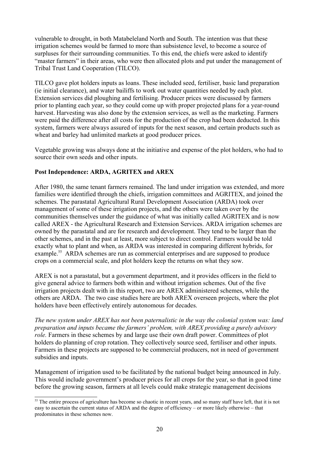vulnerable to drought, in both Matabeleland North and South. The intention was that these irrigation schemes would be farmed to more than subsistence level, to become a source of surpluses for their surrounding communities. To this end, the chiefs were asked to identify "master farmers" in their areas, who were then allocated plots and put under the management of Tribal Trust Land Cooperation (TILCO).

TILCO gave plot holders inputs as loans. These included seed, fertiliser, basic land preparation (ie initial clearance), and water bailiffs to work out water quantities needed by each plot. Extension services did ploughing and fertilising. Producer prices were discussed by farmers prior to planting each year, so they could come up with proper projected plans for a year-round harvest. Harvesting was also done by the extension services, as well as the marketing. Farmers were paid the difference after all costs for the production of the crop had been deducted. In this system, farmers were always assured of inputs for the next season, and certain products such as wheat and barley had unlimited markets at good producer prices.

Vegetable growing was always done at the initiative and expense of the plot holders, who had to source their own seeds and other inputs.

#### **Post Independence: ARDA, AGRITEX and AREX**

After 1980, the same tenant farmers remained. The land under irrigation was extended, and more families were identified through the chiefs, irrigation committees and AGRITEX, and joined the schemes. The parastatal Agricultural Rural Development Association (ARDA) took over management of some of these irrigation projects, and the others were taken over by the communities themselves under the guidance of what was initially called AGRITEX and is now called AREX - the Agricultural Research and Extension Services. ARDA irrigation schemes are owned by the parastatal and are for research and development. They tend to be larger than the other schemes, and in the past at least, more subject to direct control. Farmers would be told exactly what to plant and when, as ARDA was interested in comparing different hybrids, for example.<sup>[55](#page-19-0)</sup> ARDA schemes are run as commercial enterprises and are supposed to produce crops on a commercial scale, and plot holders keep the returns on what they sow.

AREX is not a parastatal, but a government department, and it provides officers in the field to give general advice to farmers both within and without irrigation schemes. Out of the five irrigation projects dealt with in this report, two are AREX administered schemes, while the others are ARDA. The two case studies here are both AREX overseen projects, where the plot holders have been effectively entirely autonomous for decades.

*The new system under AREX has not been paternalistic in the way the colonial system was: land preparation and inputs became the farmers' problem, with AREX providing a purely advisory role*. Farmers in these schemes by and large use their own draft power. Committees of plot holders do planning of crop rotation. They collectively source seed, fertiliser and other inputs. Farmers in these projects are supposed to be commercial producers, not in need of government subsidies and inputs.

Management of irrigation used to be facilitated by the national budget being announced in July. This would include government's producer prices for all crops for the year, so that in good time before the growing season, farmers at all levels could make strategic management decisions

<span id="page-19-0"></span><sup>&</sup>lt;sup>55</sup> The entire process of agriculture has become so chaotic in recent years, and so many staff have left, that it is not easy to ascertain the current status of ARDA and the degree of efficiency – or more likely otherwise – that predominates in these schemes now.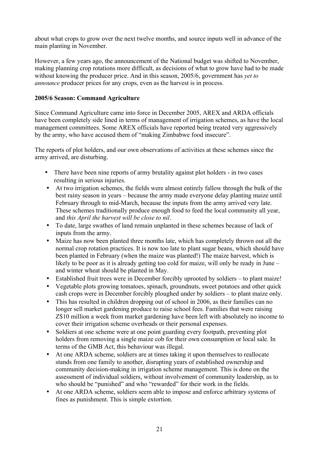about what crops to grow over the next twelve months, and source inputs well in advance of the main planting in November.

However, a few years ago, the announcement of the National budget was shifted to November, making planning crop rotations more difficult, as decisions of what to grow have had to be made without knowing the producer price. And in this season, 2005/6, government has *yet to announce* producer prices for any crops, even as the harvest is in process.

#### **2005/6 Season: Command Agriculture**

Since Command Agriculture came into force in December 2005, AREX and ARDA officials have been completely side lined in terms of management of irrigation schemes, as have the local management committees. Some AREX officials have reported being treated very aggressively by the army, who have accused them of "making Zimbabwe food insecure".

The reports of plot holders, and our own observations of activities at these schemes since the army arrived, are disturbing.

- There have been nine reports of army brutality against plot holders in two cases resulting in serious injuries.
- At two irrigation schemes, the fields were almost entirely fallow through the bulk of the best rainy season in years – because the army made everyone delay planting maize until February through to mid-March, because the inputs from the army arrived very late. These schemes traditionally produce enough food to feed the local community all year, and *this April the harvest will be close to nil*.
- To date, large swathes of land remain unplanted in these schemes because of lack of inputs from the army.
- Maize has now been planted three months late, which has completely thrown out all the normal crop rotation practices. It is now too late to plant sugar beans, which should have been planted in February (when the maize was planted!) The maize harvest, which is likely to be poor as it is already getting too cold for maize, will only be ready in June – and winter wheat should be planted in May.
- Established fruit trees were in December forcibly uprooted by soldiers to plant maize!
- Vegetable plots growing tomatoes, spinach, groundnuts, sweet potatoes and other quick cash crops were in December forcibly ploughed under by soldiers – to plant maize only.
- This has resulted in children dropping out of school in 2006, as their families can no longer sell market gardening produce to raise school fees. Families that were raising Z\$10 million a week from market gardening have been left with absolutely no income to cover their irrigation scheme overheads or their personal expenses.
- Soldiers at one scheme were at one point guarding every footpath, preventing plot holders from removing a single maize cob for their own consumption or local sale. In terms of the GMB Act, this behaviour was illegal.
- At one ARDA scheme, soldiers are at times taking it upon themselves to reallocate stands from one family to another, disrupting years of established ownership and community decision-making in irrigation scheme management. This is done on the assessment of individual soldiers, without involvement of community leadership, as to who should be "punished" and who "rewarded" for their work in the fields.
- At one ARDA scheme, soldiers seem able to impose and enforce arbitrary systems of fines as punishment. This is simple extortion.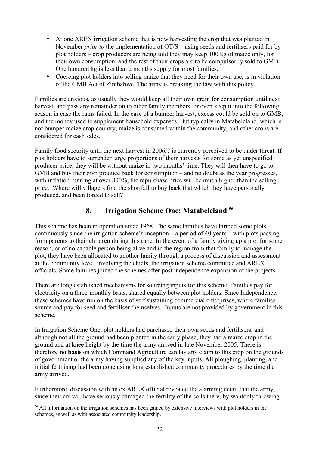- At one AREX irrigation scheme that is now harvesting the crop that was planted in November *prior to* the implementation of OT/S – using seeds and fertilisers paid for by plot holders – crop producers are being told they may keep 100 kg of maize only, for their own consumption, and the rest of their crops are to be compulsorily sold to GMB. One hundred kg is less than 2 months supply for most families.
- Coercing plot holders into selling maize that they need for their own use, is in violation of the GMB Act of Zimbabwe. The army is breaking the law with this policy.

Families are anxious, as usually they would keep all their own grain for consumption until next harvest, and pass any remainder on to other family members, or even keep it into the following season in case the rains failed. In the case of a bumper harvest, excess could be sold on to GMB, and the money used to supplement household expenses. But typically in Matabeleland, which is not bumper maize crop country, maize is consumed within the community, and other crops are considered for cash sales.

Family food security until the next harvest in 2006/7 is currently perceived to be under threat. If plot holders have to surrender large proportions of their harvests for some as yet unspecified producer price, they will be without maize in two months' time. They will then have to go to GMB and buy their own produce back for consumption – and no doubt as the year progresses, with inflation running at over 800%, the repurchase price will be much higher than the selling price. Where will villagers find the shortfall to buy back that which they have personally produced, and been forced to sell?

## **8. Irrigation Scheme One: Matabeleland [56](#page-21-0)**

This scheme has been in operation since 1968. The same families have farmed some plots continuously since the irrigation scheme's inception – a period of 40 years – with plots passing from parents to their children during this time. In the event of a family giving up a plot for some reason, or of no capable person being alive and in the region from that family to manage the plot, they have been allocated to another family through a process of discussion and assessment at the community level, involving the chiefs, the irrigation scheme committee and AREX officials. Some families joined the schemes after post independence expansion of the projects.

There are long established mechanisms for sourcing inputs for this scheme. Families pay for electricity on a three-monthly basis, shared equally between plot holders. Since Independence, these schemes have run on the basis of self sustaining commercial enterprises, where families source and pay for seed and fertiliser themselves. Inputs are not provided by government in this scheme.

In Irrigation Scheme One, plot holders had purchased their own seeds and fertilisers, and although not all the ground had been planted in the early phase, they had a maize crop in the ground and at knee height by the time the army arrived in late November 2005. There is therefore **no basis** on which Command Agriculture can lay any claim to this crop on the grounds of government or the army having supplied any of the key inputs. All ploughing, planting, and initial fertilising had been done using long established community procedures by the time the army arrived.

Furthermore, discussion with an ex AREX official revealed the alarming detail that the army, since their arrival, have seriously damaged the fertility of the soils there, by wantonly throwing

<span id="page-21-0"></span><sup>&</sup>lt;sup>56</sup> All information on the irrigation schemes has been gained by extensive interviews with plot holders in the schemes, as well as with associated community leadership.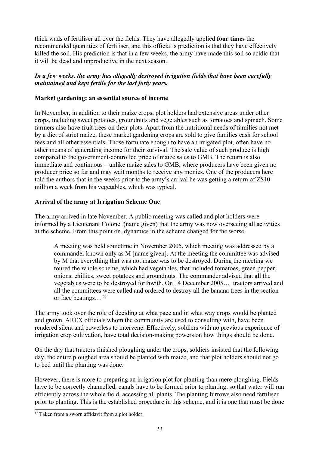thick wads of fertiliser all over the fields. They have allegedly applied **four times** the recommended quantities of fertiliser, and this official's prediction is that they have effectively killed the soil. His prediction is that in a few weeks, the army have made this soil so acidic that it will be dead and unproductive in the next season.

#### *In a few weeks, the army has allegedly destroyed irrigation fields that have been carefully maintained and kept fertile for the last forty years.*

#### **Market gardening: an essential source of income**

In November, in addition to their maize crops, plot holders had extensive areas under other crops, including sweet potatoes, groundnuts and vegetables such as tomatoes and spinach. Some farmers also have fruit trees on their plots. Apart from the nutritional needs of families not met by a diet of strict maize, these market gardening crops are sold to give families cash for school fees and all other essentials. Those fortunate enough to have an irrigated plot, often have no other means of generating income for their survival. The sale value of such produce is high compared to the government-controlled price of maize sales to GMB. The return is also immediate and continuous – unlike maize sales to GMB, where producers have been given no producer price so far and may wait months to receive any monies. One of the producers here told the authors that in the weeks prior to the army's arrival he was getting a return of Z\$10 million a week from his vegetables, which was typical.

#### **Arrival of the army at Irrigation Scheme One**

The army arrived in late November. A public meeting was called and plot holders were informed by a Lieutenant Colonel (name given) that the army was now overseeing all activities at the scheme. From this point on, dynamics in the scheme changed for the worse.

A meeting was held sometime in November 2005, which meeting was addressed by a commander known only as M [name given]. At the meeting the committee was advised by M that everything that was not maize was to be destroyed. During the meeting we toured the whole scheme, which had vegetables, that included tomatoes, green pepper, onions, chillies, sweet potatoes and groundnuts. The commander advised that all the vegetables were to be destroyed forthwith. On 14 December 2005… tractors arrived and all the committees were called and ordered to destroy all the banana trees in the section or face beatings…. [57](#page-22-0)

The army took over the role of deciding at what pace and in what way crops would be planted and grown. AREX officials whom the community are used to consulting with, have been rendered silent and powerless to intervene. Effectively, soldiers with no previous experience of irrigation crop cultivation, have total decision-making powers on how things should be done.

On the day that tractors finished ploughing under the crops, soldiers insisted that the following day, the entire ploughed area should be planted with maize, and that plot holders should not go to bed until the planting was done.

However, there is more to preparing an irrigation plot for planting than mere ploughing. Fields have to be correctly channelled; canals have to be formed prior to planting, so that water will run efficiently across the whole field, accessing all plants. The planting furrows also need fertiliser prior to planting. This is the established procedure in this scheme, and it is one that must be done

<span id="page-22-0"></span><sup>&</sup>lt;sup>57</sup> Taken from a sworn affidavit from a plot holder.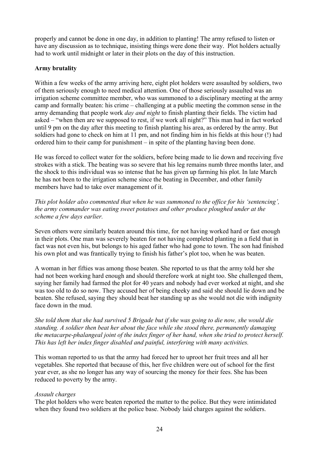properly and cannot be done in one day, in addition to planting! The army refused to listen or have any discussion as to technique, insisting things were done their way. Plot holders actually had to work until midnight or later in their plots on the day of this instruction.

#### **Army brutality**

Within a few weeks of the army arriving here, eight plot holders were assaulted by soldiers, two of them seriously enough to need medical attention. One of those seriously assaulted was an irrigation scheme committee member, who was summoned to a disciplinary meeting at the army camp and formally beaten: his crime – challenging at a public meeting the common sense in the army demanding that people work *day and night* to finish planting their fields. The victim had asked – "when then are we supposed to rest, if we work all night?" This man had in fact worked until 9 pm on the day after this meeting to finish planting his area, as ordered by the army. But soldiers had gone to check on him at 11 pm, and not finding him in his fields at this hour (!) had ordered him to their camp for punishment – in spite of the planting having been done.

He was forced to collect water for the soldiers, before being made to lie down and receiving five strokes with a stick. The beating was so severe that his leg remains numb three months later, and the shock to this individual was so intense that he has given up farming his plot. In late March he has not been to the irrigation scheme since the beating in December, and other family members have had to take over management of it.

*This plot holder also commented that when he was summoned to the office for his 'sentencing', the army commander was eating sweet potatoes and other produce ploughed under at the scheme a few days earlier.* 

Seven others were similarly beaten around this time, for not having worked hard or fast enough in their plots. One man was severely beaten for not having completed planting in a field that in fact was not even his, but belongs to his aged father who had gone to town. The son had finished his own plot and was frantically trying to finish his father's plot too, when he was beaten.

A woman in her fifties was among those beaten. She reported to us that the army told her she had not been working hard enough and should therefore work at night too. She challenged them, saying her family had farmed the plot for 40 years and nobody had ever worked at night, and she was too old to do so now. They accused her of being cheeky and said she should lie down and be beaten. She refused, saying they should beat her standing up as she would not die with indignity face down in the mud.

*She told them that she had survived 5 Brigade but if she was going to die now, she would die standing. A soldier then beat her about the face while she stood there, permanently damaging the metacarpe-phalangeal joint of the index finger of her hand, when she tried to protect herself. This has left her index finger disabled and painful, interfering with many activities.* 

This woman reported to us that the army had forced her to uproot her fruit trees and all her vegetables. She reported that because of this, her five children were out of school for the first year ever, as she no longer has any way of sourcing the money for their fees. She has been reduced to poverty by the army.

#### *Assault charges*

The plot holders who were beaten reported the matter to the police. But they were intimidated when they found two soldiers at the police base. Nobody laid charges against the soldiers.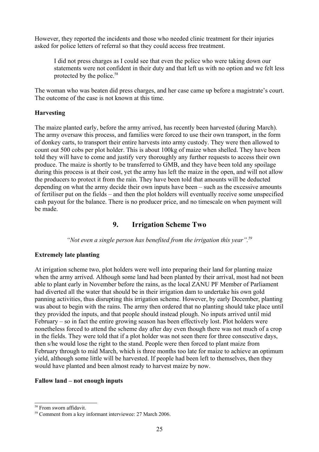However, they reported the incidents and those who needed clinic treatment for their injuries asked for police letters of referral so that they could access free treatment.

I did not press charges as I could see that even the police who were taking down our statements were not confident in their duty and that left us with no option and we felt less protected by the police. [58](#page-24-0)

The woman who was beaten did press charges, and her case came up before a magistrate's court. The outcome of the case is not known at this time.

#### **Harvesting**

The maize planted early, before the army arrived, has recently been harvested (during March). The army oversaw this process, and families were forced to use their own transport, in the form of donkey carts, to transport their entire harvests into army custody. They were then allowed to count out 500 cobs per plot holder. This is about 100kg of maize when shelled. They have been told they will have to come and justify very thoroughly any further requests to access their own produce. The maize is shortly to be transferred to GMB, and they have been told any spoilage during this process is at their cost, yet the army has left the maize in the open, and will not allow the producers to protect it from the rain. They have been told that amounts will be deducted depending on what the army decide their own inputs have been – such as the excessive amounts of fertiliser put on the fields – and then the plot holders will eventually receive some unspecified cash payout for the balance. There is no producer price, and no timescale on when payment will be made.

### **9. Irrigation Scheme Two**

*"Not even a single person has benefited from the irrigation this year". [59](#page-24-1)*

#### **Extremely late planting**

At irrigation scheme two, plot holders were well into preparing their land for planting maize when the army arrived. Although some land had been planted by their arrival, most had not been able to plant early in November before the rains, as the local ZANU PF Member of Parliament had diverted all the water that should be in their irrigation dam to undertake his own gold panning activities, thus disrupting this irrigation scheme. However, by early December, planting was about to begin with the rains. The army then ordered that no planting should take place until they provided the inputs, and that people should instead plough. No inputs arrived until mid February – so in fact the entire growing season has been effectively lost. Plot holders were nonetheless forced to attend the scheme day after day even though there was not much of a crop in the fields. They were told that if a plot holder was not seen there for three consecutive days, then s/he would lose the right to the stand. People were then forced to plant maize from February through to mid March, which is three months too late for maize to achieve an optimum yield, although some little will be harvested. If people had been left to themselves, then they would have planted and been almost ready to harvest maize by now.

#### **Fallow land – not enough inputs**

<span id="page-24-0"></span><sup>58</sup> From sworn affidavit.

<span id="page-24-1"></span><sup>59</sup> Comment from a key informant interviewee: 27 March 2006.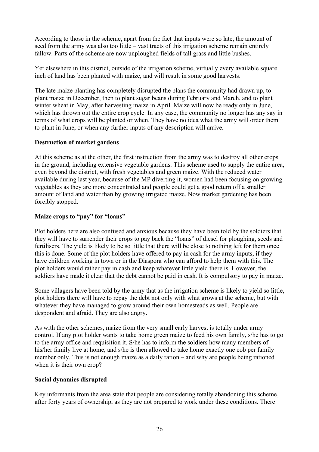According to those in the scheme, apart from the fact that inputs were so late, the amount of seed from the army was also too little – vast tracts of this irrigation scheme remain entirely fallow. Parts of the scheme are now unploughed fields of tall grass and little bushes.

Yet elsewhere in this district, outside of the irrigation scheme, virtually every available square inch of land has been planted with maize, and will result in some good harvests.

The late maize planting has completely disrupted the plans the community had drawn up, to plant maize in December, then to plant sugar beans during February and March, and to plant winter wheat in May, after harvesting maize in April. Maize will now be ready only in June, which has thrown out the entire crop cycle. In any case, the community no longer has any say in terms of what crops will be planted or when. They have no idea what the army will order them to plant in June, or when any further inputs of any description will arrive.

#### **Destruction of market gardens**

At this scheme as at the other, the first instruction from the army was to destroy all other crops in the ground, including extensive vegetable gardens. This scheme used to supply the entire area, even beyond the district, with fresh vegetables and green maize. With the reduced water available during last year, because of the MP diverting it, women had been focusing on growing vegetables as they are more concentrated and people could get a good return off a smaller amount of land and water than by growing irrigated maize. Now market gardening has been forcibly stopped.

#### **Maize crops to "pay" for "loans"**

Plot holders here are also confused and anxious because they have been told by the soldiers that they will have to surrender their crops to pay back the "loans" of diesel for ploughing, seeds and fertilisers. The yield is likely to be so little that there will be close to nothing left for them once this is done. Some of the plot holders have offered to pay in cash for the army inputs, if they have children working in town or in the Diaspora who can afford to help them with this. The plot holders would rather pay in cash and keep whatever little yield there is. However, the soldiers have made it clear that the debt cannot be paid in cash. It is compulsory to pay in maize.

Some villagers have been told by the army that as the irrigation scheme is likely to yield so little, plot holders there will have to repay the debt not only with what grows at the scheme, but with whatever they have managed to grow around their own homesteads as well. People are despondent and afraid. They are also angry.

As with the other schemes, maize from the very small early harvest is totally under army control. If any plot holder wants to take home green maize to feed his own family, s/he has to go to the army office and requisition it. S/he has to inform the soldiers how many members of his/her family live at home, and s/he is then allowed to take home exactly one cob per family member only. This is not enough maize as a daily ration – and why are people being rationed when it is their own crop?

#### **Social dynamics disrupted**

Key informants from the area state that people are considering totally abandoning this scheme, after forty years of ownership, as they are not prepared to work under these conditions. There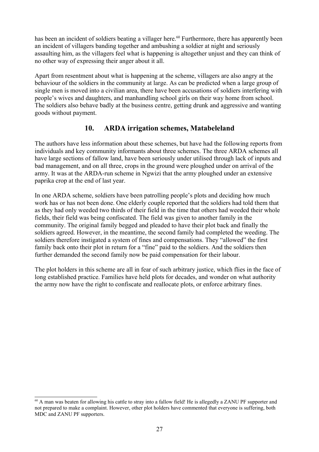has been an incident of soldiers beating a villager here.<sup>[60](#page-26-0)</sup> Furthermore, there has apparently been an incident of villagers banding together and ambushing a soldier at night and seriously assaulting him, as the villagers feel what is happening is altogether unjust and they can think of no other way of expressing their anger about it all.

Apart from resentment about what is happening at the scheme, villagers are also angry at the behaviour of the soldiers in the community at large. As can be predicted when a large group of single men is moved into a civilian area, there have been accusations of soldiers interfering with people's wives and daughters, and manhandling school girls on their way home from school. The soldiers also behave badly at the business centre, getting drunk and aggressive and wanting goods without payment.

## **10. ARDA irrigation schemes, Matabeleland**

The authors have less information about these schemes, but have had the following reports from individuals and key community informants about three schemes. The three ARDA schemes all have large sections of fallow land, have been seriously under utilised through lack of inputs and bad management, and on all three, crops in the ground were ploughed under on arrival of the army. It was at the ARDA-run scheme in Ngwizi that the army ploughed under an extensive paprika crop at the end of last year.

In one ARDA scheme, soldiers have been patrolling people's plots and deciding how much work has or has not been done. One elderly couple reported that the soldiers had told them that as they had only weeded two thirds of their field in the time that others had weeded their whole fields, their field was being confiscated. The field was given to another family in the community. The original family begged and pleaded to have their plot back and finally the soldiers agreed. However, in the meantime, the second family had completed the weeding. The soldiers therefore instigated a system of fines and compensations. They "allowed" the first family back onto their plot in return for a "fine" paid to the soldiers. And the soldiers then further demanded the second family now be paid compensation for their labour.

The plot holders in this scheme are all in fear of such arbitrary justice, which flies in the face of long established practice. Families have held plots for decades, and wonder on what authority the army now have the right to confiscate and reallocate plots, or enforce arbitrary fines.

<span id="page-26-0"></span><sup>&</sup>lt;sup>60</sup> A man was beaten for allowing his cattle to stray into a fallow field! He is allegedly a ZANU PF supporter and not prepared to make a complaint. However, other plot holders have commented that everyone is suffering, both MDC and ZANU PF supporters.